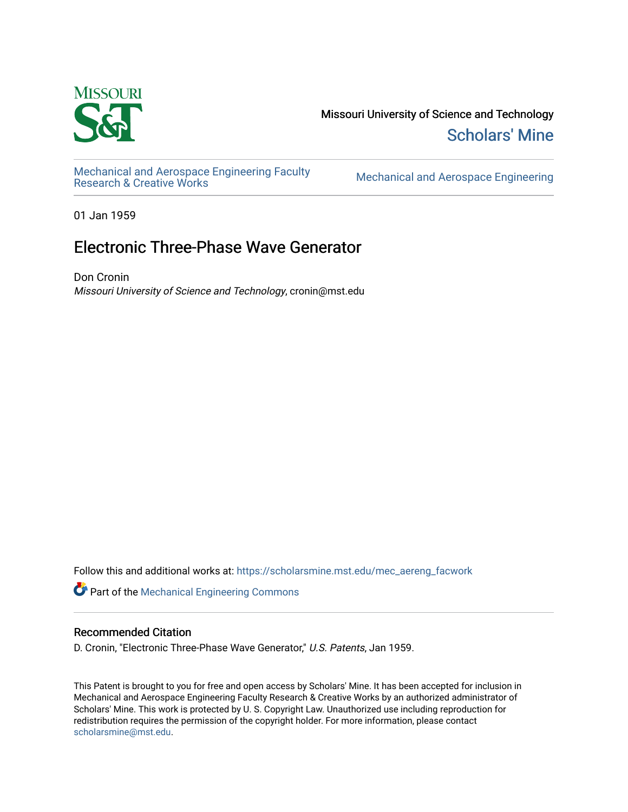

Missouri University of Science and Technology [Scholars' Mine](https://scholarsmine.mst.edu/) 

[Mechanical and Aerospace Engineering Faculty](https://scholarsmine.mst.edu/mec_aereng_facwork) 

Mechanical and Aerospace Engineering

01 Jan 1959

## Electronic Three-Phase Wave Generator

Don Cronin Missouri University of Science and Technology, cronin@mst.edu

Follow this and additional works at: [https://scholarsmine.mst.edu/mec\\_aereng\\_facwork](https://scholarsmine.mst.edu/mec_aereng_facwork?utm_source=scholarsmine.mst.edu%2Fmec_aereng_facwork%2F3145&utm_medium=PDF&utm_campaign=PDFCoverPages) 

Part of the [Mechanical Engineering Commons](http://network.bepress.com/hgg/discipline/293?utm_source=scholarsmine.mst.edu%2Fmec_aereng_facwork%2F3145&utm_medium=PDF&utm_campaign=PDFCoverPages) 

### Recommended Citation

D. Cronin, "Electronic Three-Phase Wave Generator," U.S. Patents, Jan 1959.

This Patent is brought to you for free and open access by Scholars' Mine. It has been accepted for inclusion in Mechanical and Aerospace Engineering Faculty Research & Creative Works by an authorized administrator of Scholars' Mine. This work is protected by U. S. Copyright Law. Unauthorized use including reproduction for redistribution requires the permission of the copyright holder. For more information, please contact [scholarsmine@mst.edu.](mailto:scholarsmine@mst.edu)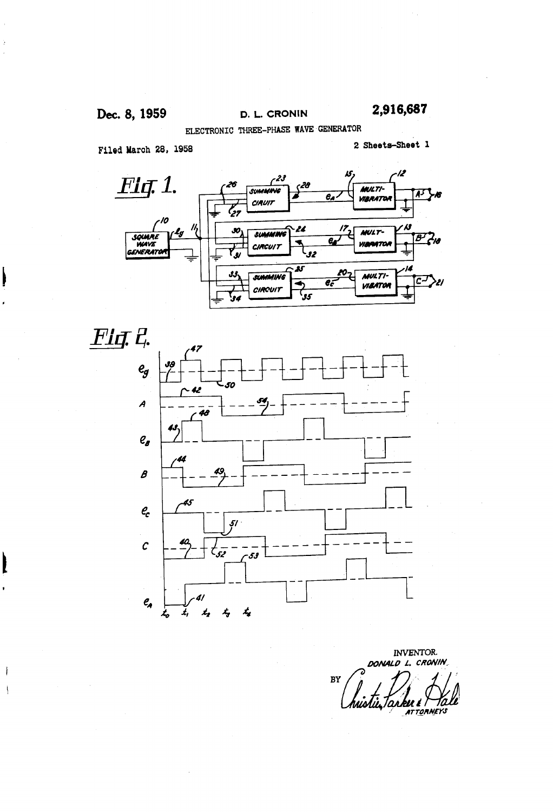j

 $\mathbf{i}$ 

Dec. 8, 1959 D. L. CRONIN ELECTRONIC THREE-PHASE WAWE GENERATOR 2,916,687

Filed Maroh 28, 1958

2 Sheets-Sheet 1





INVENTOR. DONALD L. CRONIN  $BY$ ku t n. **ATTORNEYS**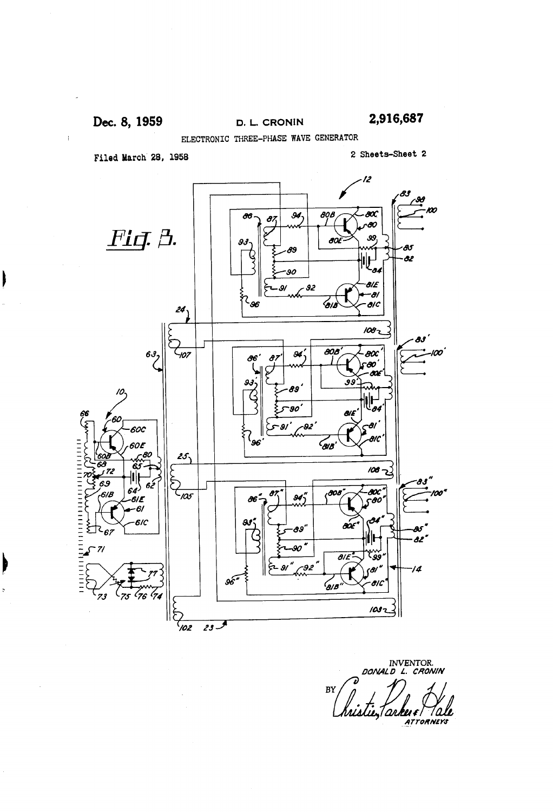$\mathbf{\mathbf{I}}$ 

 $\mathbf b$ 

Dec. 8, 1959 D. L. CRONIN 2,916,687

ELECTRONIC THREE-PHASE WAWE GENERATOR

Filed March 28, 1958 2 Sheets-Sheet 2



INVENTOR.<br>DONALD L. CRONIN BY histie, arkey Pal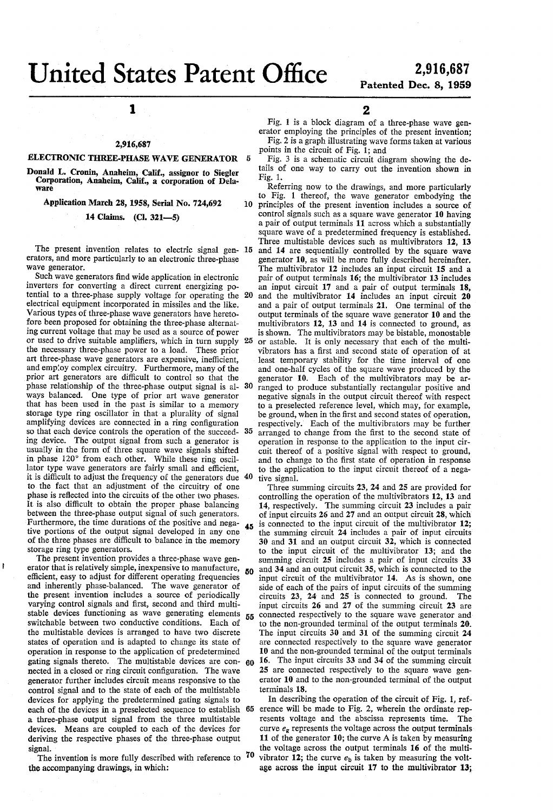# Patented Dec. 8, 1959

## 1

### 2,916,687

### ELECTRONIC THREE-PHASE WAVE GENERATOR 5

Donald L. Cronin, Anaheim, Calif., assignor to Siegler Corporation, Anaheim, Calif., a corporation of Delaware

Application March 28, 1958, Serial No. 724,692

14 Claims. (Cl. 321-5)

The present invention relates to electric signal gen-15 erators, and more particularly to an electronic three-phase Wave generator.

Such wave generators find wide application in electronic inverters for converting a direct current energizing poinverters for converting a direct current energizing potential to a three-phase supply voltage for operating the 20 electrical equipment incorporated in missiles and the like. Various types of three-phase wave generators have hereto fore been proposed for obtaining the three-phase alternat ing current voltage that may be used as a source of power the necessary three-phase power to a load. These prior art three-phase wave generators are expensive, inefficient, and employ complex circuitry. Furthermore, many of the prior art generators are difficult to control so that the phase relationship of the three-phase output signal is always balanced. One type of prior art wave generator that has been used in the past is similar to a memory storage type ring oscillator in that a plurality of signal amplifying devices are connected in a ring configuration so that each device controls the operation of the succeed- 35 ing device. The output signal from such a generator is usually in the form of three square wave signals shifted in phase 120° from each other. While these ring oscillator type wave generators are fairly small and efficient. lator type wave generators are fairly small and efficient, it is difficult to adjust the frequency of the generators due 40 to the fact that an adjustment of the circuitry of one phase is reflected into the circuits of the other two phases. It is also difficult to obtain the proper phase balancing between the three-phase output signal of such generators. tive portions of the output signal developed in any one of the three phases are difficult to balance in the memory storage ring type generators. or used to drive suitable amplifiers, which in turn supply 25 30 Furthermore, the time durations of the positive and nega-

The present invention provides a three-phase wave generator that is relatively simple, inexpensive to manufacture, efficient, easy to adjust for different operating frequencies and inherently phase-balanced. The wave generator of the present invention includes a source of periodically varying control signals and first, second and third multistable devices functioning as wave generating elements 55 switchable between two conductive conditions. Each of the multistable devices is arranged to have two discrete states of operation and is adapted to change its state of operation in response to the application of predetermined operation in response to the application of predetermined gating signals thereto. The multistable devices are con 60 nected in a closed or ring circuit configuration. The Wave generator further includes circuit means responsive to the devices for applying the predetermined gating signals to a three-phase output signal from the three multistable devices. Means are coupled to each of the devices for deriving the respective phases of the three-phase output signal. 50

ł

The invention is more fully described with reference to  $70$ the accompanying drawings, in which:

2

Fig. 1 is a block diagram of a three-phase wave gen erator employing the principles of the present invention; Fig. 2 is a graph illustrating wave forms taken at various points in the circuit of Fig. 1; and

Fig. 3 is a schematic circuit diagram showing the de tails of one way to carry out the invention shown in Fig. 1.

 $10<sup>°</sup>$ Referring now to the drawings, and more particularly to Fig. 1 thereof, the wave generator embodying the principles of the present invention includes a source of control signals such as a square wave generator 10 having a pair of output terminals 11 across which a substantially square wave of a predetermined frequency is established. Three multistable devices such as multivibrators 12, 13 and 14 are sequentially controlled by the square wave generator 10, as will be more fully described hereinafter. The multivibrator 12 includes an input circuit 15 and a pair of output terminals 16; the multivibrator 13 includes an input circuit 17 and a pair of output terminals 18, and the multivibrator 14 includes an input circuit 20 and a pair of output terminals 21. One terminal of the output terminals of the square wave generator 10 and the multivibrators 12, 13 and 14 is connected to ground, as is shown. The multivibrators may be bistable, monostable or astable. It is only necessary that each of the multi vibrators has a first and second state of operation of at least temporary stability for the time interval of one and one-half cycles of the square wave produced by the generator 10. Each of the multivibrators may be arranged to produce substantially rectangular positive and negative signals in the output circuit thereof with respect to a preselected reference level, which may, for example,<br>be ground, when in the first and second states of operation,<br>respectively. Each of the multivibrators may be further<br>arranged to change from the first to the second operation in response to the application to the input circuit thereof of a positive signal with respect to ground, and to change to the first state of operation in response to the application to the input circuit thereof of a nega-

tive signal.<br>Three summing circuits  $23$ ,  $24$  and  $25$  are provided for controlling the operation of the multivibrators 12, 13 and 14, respectively. The summing circuit 23 includes a pair of input circuits 26 and 27 and an output circuit 28, which is connected to the input circuit of the multivibrator 12; the summing circuit 24 includes a pair of input circuits 30 and 31 and an output circuit 32, which is connected to the input circuit of the multivibrator 13; and the summing circuit 25 includes a pair of input circuits 33 and 34 and an output circuit 35, which is connected to the input circuit of the multivibrator 14. As is shown, one input circuit of the multivibrator 14. As is shown, one side of each of the pairs of input circuits of the summing circuits 23, 24 and 25 is connected to ground. The input circuits 26 and 27 of the summing circuit 23 are connected respectively to the square wave generator and to the non-grounded terminal of the output terminals 20. The input circuits 30 and 31 of the summing circuit 24 are connected respectively to the square wave generator  $10$  and the non-grounded terminal of the output terminals 16. The input circuits 33 and 34 of the summing circuit 25 are connected respectively to the square wave gen erator 10 and to the non-grounded terminal of the output terminals 18.

each of the devices in a preselected sequence to establish 65 erence will be made to Fig. 2, wherein the ordinate rep-In describing the operation of the circuit of Fig. 1, ref resents voltage and the abscissa represents time. The curve  $e_{\alpha}$  represents the voltage across the output terminals 11 of the generator 10; the curve A is taken by measuring the voltage across the output terminals 16 of the multi vibrator 12; the curve  $e<sub>b</sub>$  is taken by measuring the voltage across the input circuit 17 to the multivibrator 13;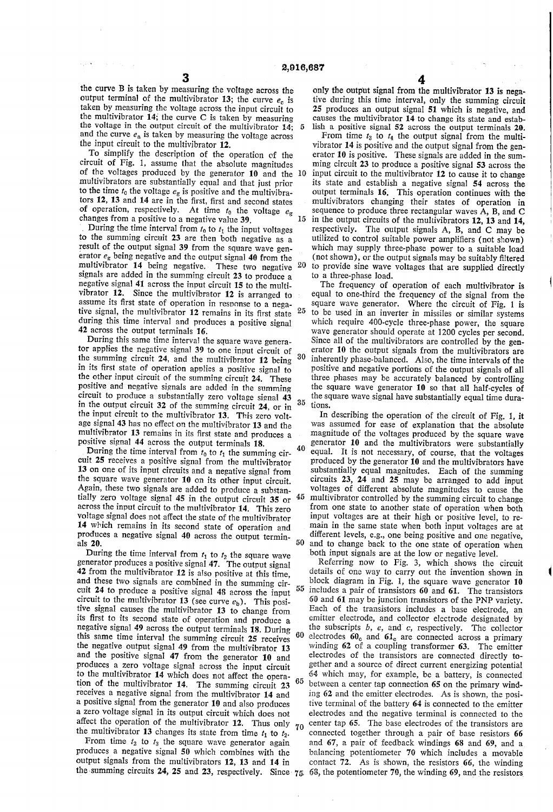35

the curve B is taken by measuring the voltage across the output terminal of the multivibrator 13; the curve  $e_c$  is taken by measuring the voltage across the input circuit to the multivibrator  $14$ ; the curve C is taken by measuring the voltage in the output circuit of the multivibrator  $14$ ;  $\overline{5}$ and the curve  $e_a$  is taken by measuring the voltage across the input circuit to the multivibrator 12.

To simplify the description of the operation of the circuit of Fig. 1, assume that the absolute magnitudes circuit of Fig. 1, assume that the absolute magnitudes of the voltages produced by the generator 10 and the O multivibrators are substantially equal and that just prior to the time  $t_0$  the voltage  $e_g$  is positive and the multivibrators 12, 13 and 14 are in the first, first and second states of operation, respectively. At time  $t_0$  the voltage  $e_{\rm g}$ changes from a positive to a negative value 39.

During the time interval from  $t_0$  to  $t_1$  the input voltages to the summing circuit 23 are then both negative as a result of the output signal 39 from the square wave generator  $e_g$  being negative and the output signal 40 from the multivibrator 14 being negative. These two negative signals are added in the summing circuit 23 to produce a negative signal 41 across the input circuit 15 to the multivibrator  $12$ . Since the multivibrator  $12$  is arranged to assume its first state of operation in response to a negative signal, the multivibrator 12 remains in its first state during this time interval and produces a positive signal 42 across the output terminals 16.<br>During this same time interval the square wave genera-20

tor applies the negative signal 39 to one input circuit of the summing circuit 24, and the multivibrator 12 being in its first state of operation applies a positive signal to the other input circuit of the summing circuit 24. These positive and negative signals are added in the summing circuit to produce a substantially zero voltage signal 43 in the output circuit 32 of the summing circuit 24, or in the input circuit to the multivibrator 13. This zero volt age signal 43 has no effect on the multivibrator 13 and the multivibrator 13 remains in its first state and produces a positive signal 44 across the output terminals 18. 30

During the time interval from  $t_0$  to  $t_1$  the summing circuit 25 receives a positive signal from the multivibrator 13 on one of its input circuits and a negative signal from the square wave generator 10 on its other input circuit. Again, these two signals are added to produce a substan tially zero voltage signal 45 in the output circuit 35 or across the input circuit to the multivibrator 14. This zero voltage signal does not affect the state of the multivibrator 14 which remains in its second state of operation and produces a negative signal 40 across the output termin als 20. 50

During the time interval from  $t_1$  to  $t_2$  the square wave generator produces a positive signal 47. The output signal 42 from the multivibrator 12 is also positive at this time, and these two signals are combined in the summing circuit 24 to produce a positive signal 48 across the input circuit to the multivibrator 13 (see curve  $e<sub>b</sub>$ ). This positive signal causes the multivibrator 13 to change from its first to its second state of operation and produce a negative signal 49 across the output terminals 18. During this same time interval the summing circuit 25 receives the negative output signal 49 from the multivibrator 13 and the positive signal 47 from the generator 10 and produces a zero voltage signal across the input circuit to the multivibrator 14 which does not affect the operation of the multivibrator 14. The summing circuit 23 receives a negative signal from the multivibrator 14 and a positive signal from the generator 10 and also produces a zero voltage signal in its output circuit which does not affect the operation of the multivibrator 12. Thus only 55 65 70

the multivibrator 13 changes its state from time  $t_1$  to  $t_2$ .<br>From time  $t_2$  to  $t_3$  the square wave generator again produces a negative signal 50 which combines with the output signals from the multivibrators 12, 13 and 14 in

only the output signal from the multivibrator 13 is negative during this time interval, only the summing circuit 25 produces an output signal 51 which is negative, and causes the multivibrator 14 to change its state and estab lish a positive signal 52 across the output terminals 20.

15 in the output circuits of the multivibrators 12, 13 and 14, From time  $t_3$  to  $t_4$  the output signal from the multivibrator  $14$  is positive and the output signal from the generator  $10$  is positive. These signals are added in the summing circuit 23 to produce a positive signal 53 across the input circuit to the multivibrator  $12$  to cause it to change its state and establish a negative signal 54 across the output terminals 16. This operation continues with the multivibrators changing their states of operation in sequence to produce three rectangular waves A, B, and C respectively. The output signals A, B, and C may be utilized to control suitable power amplifiers (not shown) which may supply three-phase power to a suitable load (not shown), or the output signals may be suitably filtered to provide sine wave voltages that are supplied directly to a three-phase load.

25 to be used in an inverter in missiles or similar systems The frequency of operation of each multivibrator is equal to one-third the frequency of the signal from the square wave generator. Where the circuit of Fig. 1 is which require 400-cycle three-phase power, the square wave generator should operate at 1200 cycles per second. Since all of the multivibrators are controlled by the gen erator 10 the output signals from the multivibrators are inherently phase-balanced. Also, the time intervals of the positive and negative portions of the output signals of all three phases may be accurately balanced by controlling the square wave generator  $10$  so that all half-cycles of the square wave signal have substantially equal time dura tions.

40 equal. It is not necessary, of course, that the voltages 45 multivibrator controlled by the summing circuit to change In describing the operation of the circuit of Fig. 1, it was assumed for ease of explanation that the absolute magnitude of the voltages produced by the square wave generator 10 and the multivibrators were substantially produced by the generator 10 and the multivibrators have<br>substantially equal magnitudes. Each of the summing<br>circuits 23, 24 and 25 may be arranged to add input<br>voltages of different absolute magnitudes to cause the from one state to another state of operation when both input voltages are at their high or positive level, to remain in the same state when both input voltages are at different levels, e.g., one being positive and one negative, and to change back to the one state of operation when both input signals are at the low or negative level.

output signals from the multivibrators 12, 13 and 14 in contact 72. As is shown, the resistors 66, the winding the summing circuits 24, 25 and 23, respectively. Since  $75.68$ , the potentiometer 70, the winding 69, and the 60 electrodes  $60<sub>c</sub>$  and  $61<sub>c</sub>$  are connected across a primary Referring now to Fig. 3, which shows the circuit details of one way to carry out the invention shown in block diagram in Fig. 1, the square wave generator 10 includes a pair of transistors  $60$  and  $61$ . The transistors  $60$  and  $61$  may be junction transistors of the PNP variety. Each of the transistors includes a base electrode, an emitter electrode, and collector electrode designated by the subscripts  $b$ ,  $e$ , and  $c$ , respectively. The collector winding 62 of a coupling transformer 63. The emitter electrodes of the transistors are connected directly to-<br>gether and a source of direct current energizing potential 64 which may, for example, be a battery, is connected between a center tap connection 65 on the primary winding 62 and the emitter electrodes. As is shown, the positive terminal of the battery 64 is connected to the emitter electrodes and the negative terminal is connected to the center tap 65. The base electrodes of the transistors are connected together through a pair of base resistors 66 and 67, a pair of feedback windings 68 and 69, and a balancing potentiometer  $70$  which includes a movable contact  $72$ . As is shown, the resistors  $66$ , the winding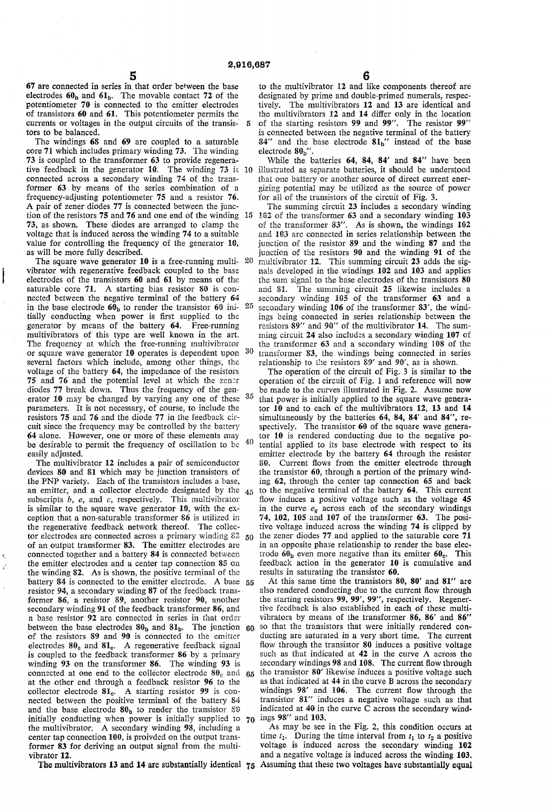$\overline{5}$ 

67 are connected in series in that order befween the base electrodes  $60<sub>b</sub>$  and  $61<sub>b</sub>$ . The movable contact 72 of the potentiometer 70 is connected to the emitter electrodes of transistors 60 and 61. This potentiometer permits the currents or voltages in the output circuits of the transis tors to be balanced.

The windings 68 and 69 are coupled to a saturable<br>core 71 which includes primary winding 73. The winding core 71 which includes primary winding 73. The winding 73 is coupled to the transformer 63 to provide regenerative feedback in the generator 10. The winding 73 is 10 connected across a secondary winding 74 of the trans-<br>former 63 by means of the series combination of a frequency-adjusting potentiometer 75 and a resistor 76.<br>A pair of zener diodes 77 is connected between the junc-A pair of zener diodes 77 is connected between the junction of the resistors 75 and 76 and one end of the winding 15 73, as shown. These diodes are arranged to clamp the voltage that is induced across the winding 74 to a suitable value for controlling the frequency of the generator 10, as will be more fully described.

The square wave generator  $10$  is a free-running multi-  $20$ vibrator with regenerative feedback coupled to the base electrodes of the transistors 60 and 61 by means of the saturable core 71. A starting bias resistor 80 is con nected between the negative terminal of the battery 64 in the base electrode  $60<sub>b</sub>$  to render the transistor 60 ini-  $25$ tially conducting when power is first supplied to the generator by means of the battery 64. Free-running multivibrators of this type are well known in the art. The frequency at which the free-running multivibrator or square wave generator 10 operates is dependent upon  $30$ several factors which include, among other things, the voltage of the battery 64, the impedance of the resistors 75 and 76 and the potential level at which the Zener diodes 77 break down. Thus the frequency of the gen erator 10 may be changed by varying any one of these <sup>35</sup> parameters. It is not necessary, of course, to include the resistors 75 and 76 and the diode 77 in the feedback cir cuit since the frequency may be controlled by the battery 64 alone. However, one or more of these elements may 64 alone. However, one or more of these elements may be desirable to permit the frequency of oscillation to be 40 easily adjusted.

The multivibrator 12 includes a pair of semiconductor devices 80 and 81 which may be junction transistors of the PNP variety. Each of the transistors includes a base, an emitter, and a collector electrode designated by the  $_{45}$ subscripts  $b$ ,  $e$ , and  $c$ , respectively. This multivibrator is similar to the square wave generator 10, with the ex ception that a non-saturable transformer 86 is utilized in the regenerative feedback network thereof. The collec tor electrodes are connected across a primary winding  $\frac{82}{50}$ of an output transformer 83. The emitter electrodes are connected together and a battery 84 is connected between the emitter electrodes and a center tap connection 85 on the winding 82. As is shown, the positive terminal of the battery 84 is connected to the emitter electrode. A base 55 resistor 94, a secondary winding 87 of the feedback trans former 86, a resistor 89, another resistor 90, another secondary winding 91 of the feedback transformer 86, and a base resistor 92 are connected in series in that order between the base electrodes  $\delta v_b$  and  $\delta l_b$ . The junction  $60$ of the resistors  $39$  and  $90$  is connected to the emitter electrodes  $30_e$  and  $31_e$ . A regenerative feedback signal is coupled to the feedback transformer 86 by a primary winding 93 on the transformer 86. The winding 93 is connected at one end to the collector electrode  $\delta v_c$  and 65 at the other end through a feedback resistor 96 to the collector electrode  $81_c$ . A starting resistor 99 is connected between the positive terminal of the battery  $84$  and the base electrode  $80<sub>h</sub>$  to render the transistor  $80$ and the base electrode  $\mathbf{v}_b$  to render the transistor  $\mathbf{v}_v$  indicated at 40 in the initially conducting when power is initially supplied to  $\gamma_0$  ings 98' and 103. the multivibrator. A secondary winding 98, including a center tap connection 100, is proivded on the output transformer 83 for deriving an output signal from the multi vibrator 12.

The multivibrators 13 and 14 are substantially identical  $75$  Assuming that these two voltages have substantially equal

to the multivibrator 12 and like components thereof are designated by prime and double-primed numerals, respec tively. The multivibrators 12 and 13 are identical and the multivibrators 12 and 14 differ only in the location of the starting resistors 99 and 99'. The resistor 99' is connected between the negative terminal of the battery  $84'$  and the base electrode  $81<sub>b</sub>$ " instead of the base electrode $\bf{80_{{b}}}^{\prime}$ 

While the batteries 64, 84, 84' and 84" have been illustrated as separate batteries, it should be understood that one battery or another source of direct current energizing potential may be utilized as the source of power for all of the transistors of the circuit of Fig. 3.

The summing circuit 23 includes a secondary winding 102 of the transformer 63 and a secondary winding 103 of the transformer 83''. As is shown, the windings 162 and 103 are connected in series relationship between the junction of the resistor 89 and the winding 87 and the junction of the resistors 90 and the winding 91 of the multivibrator 12. This summing circuit 23 adds the signals developed in the windings 102 and 103 and applies the sun signal to the base electrodes of the transistors 80 and 81. The summing circuit 25 likewise includes a secondary winding 105 of the transformer 63 and a secondary winding  $106$  of the transformer  $83'$ , the windings being connected in series relationship between the resistors  $89''$  and  $90''$  of the multivibrator 14. The summing circuit 24 also includes a secondary winding 107 of the transformer 63 and a secondary winding 108 of the transformer 83, the windings being connected in series relationship to the resistors 89' and 90', as is shown.

The operation of the circuit of Fig. 3 is similar to the operation of the circuit of Fig. 1 and reference will now be made to the curves illustrated in Fig. 2. Assume now that power is initially applied to the square wave genera tor 10 and to each of the multivibrators 12, 13 and 14 simultaneously by the batteries 64, 84, 84' and 84", respectively. The transistor  $60$  of the square wave generator  $10$  is rendered conducting due to the negative potential applied to its base electrode with respect to its emitter electrode by the battery 64 through the resistor 80. Current flows from the emitter electrode through the transistor 60, through a portion of the primary winding 62, through the center tap connection 65 and back to the negative terminal of the battery 64. This current flow induces a positive voltage such as the voltage 45 in the curve  $e_g$  across each of the secondary windings 74, 102, 105 and 107 of the transformer 63. The positive voltage induced across the winding 74 is clipped by the Zener diodes 77 and applied to the saturable core 71 in an opposite phase relationship to render the base elec trode  $60<sub>b</sub>$  even more negative than its emitter  $60<sub>e</sub>$ . This feedback action in the generator 10 is cumulative and results in saturating the transistor 60.

At this same time the transistors  $80$ ,  $80'$  and  $81''$  are also rendered conducting due to the current flow through the starting resistors 99, 99', 99'', respectively. Regenertive feedback is also established in each of these multi vibrators by means of the transformer 86, 86' and 86' so that the transistors that were initially rendered conducting are saturated in a very short time. The current flow through the transistor 80 induces a positive voltage such as that indicated at 42 in the curve A across the secondary windings 98 and 108. The current flow through the transistor 80' likewise induces a positive voltage such as that indicated at 44 in the curve B across the secondary as that indicated at 44 in the curve B across the secondary windings 98' and 106. The current flow through the transistor 8i' induces a negative voltage such as that indicated at 40 in the curve C across the secondary wind

As may be see in the Fig. 2, this condition occurs at time  $t_1$ . During the time interval from  $t_1$  to  $t_2$  a positive voltage is induced across the secondary winding 102 and a negative voltage is induced across the winding 103.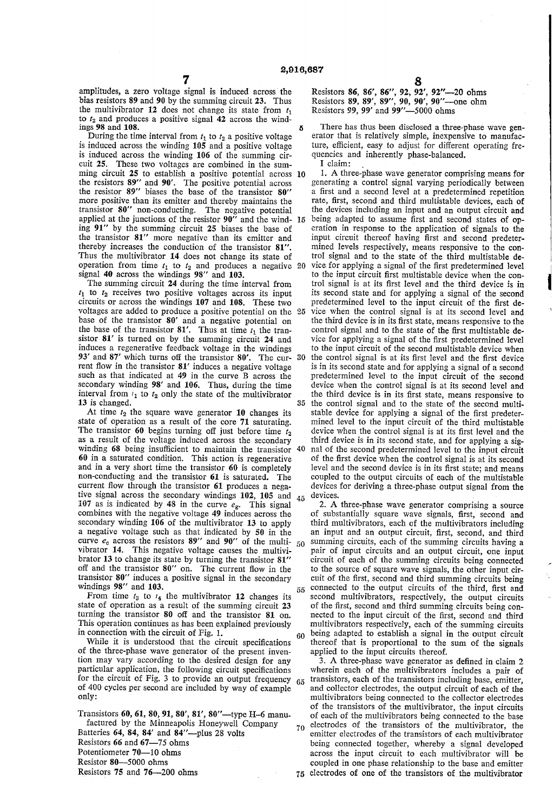amplitudes, a zero voltage signal is induced across the bias resistors 89 and 90 by the summing circuit 23. Thus the multivibrator 12 does not change its state from  $t_1$ to  $t_2$  and produces a positive signal 42 across the wind-

ings 98 and 108.<br>During the time interval from  $t_1$  to  $t_2$  a positive voltage is induced across the winding  $105$  and a positive voltage is induced across the winding  $106$  of the summing circuit 25. These two voltages are combined in the sum ming circuit 25 to establish a positive potential across 10 the resistors 89" and 90'. The positive potential across the resistor 89' biases the base of the transistor 80' more positive than its emitter and thereby maintains the transistor 80" non-conducting. The negative potential ing 91' by the summing circuit 25 biases the base of the transistor 81' more negative than its emitter and thereby increases the conduction of the transistor 81".<br>Thus the multivibrator 14 does not change its state of Thus the multivibrator 14 does not change its state of operation from time  $t_1$  to  $t_2$  and produces a negative signal 40 across the windings 98'' and 103. applied at the junctions of the resistor  $90''$  and the wind- 15 being adapted to assume first and second states of op-

The summing circuit 24 during the time interval from  $t_1$  to  $t_2$  receives two positive voltages across its input circuits or across the windings 107 and 108. These two voltages are added to produce a positive potential on the 25 base of the transistor 80' and a negative potential on the base of the transistor 81'. Thus at time  $t_1$  the transistor 81' is turned on by the summing circuit 24 and induces a regenerative feedback voltage in the windings 93' and 87' which turns off the transistor 80'. The cur- 30 rent flow in the transistor  $81'$  induces a negative voltage such as that indicated at  $49$  in the curve B across the secondary winding 98' and 106. Thus, during the time interval from  $t_1$  to  $t_2$  only the state of the multivibrator 13 is changed.

At time  $t_2$  the square wave generator 10 changes its state of operation as a result of the core 71 saturating. The transistor 60 begins turning off just before time  $t_2$  as a result of the voltage induced across the secondary as a result of the voltage induced across the secondary winding 68 being insufficient to maintain the transistor 40 60 in a saturated condition. This action is regenerative and in a very short time the transistor 60 is completely non-conducting and the transistor 61 is saturated. The current flow through the transistor 61 produces a ne tive signal across the secondary windings 102, 105 and  $45$  107 as is indicated by 48 in the curve  $e_g$ . This signal combines with the negative voltage 49 induces across the secondary winding 106 of the multivibrator 13 to apply a negative voltage such as that indicated by 50 in the curve  $e_c$  across the resistors 89" and 90" of the multi-  $50$ vibrator 14. This negative voltage causes the multivi brator 13 to change its state by turning the transistor 81''' off and the transistor 80' on. The current flow in the transistor 80' induces a positive signal in the secondary windings 98' and 103. 55

From time  $t_3$  to  $t_4$  the multivibrator 12 changes its state of operation as a result of the summing circuit 23 turning the transistor  $80$  off and the transistor  $81$  on. This operation continues as has been explained previously<br>in connection with the circuit of Fig. 1.<br>While it is understood that the circuit specifications

60

of the three-phase wave generator of the present invention may vary according to the desired design for any particular application, the following circuit specifications<br>for the circuit of Fig. 3 to provide an output frequency  $65$ <br>of 400 cycles per second are included by way of example<br>only:

Transistors 60, 61, 80, 91, 80', 81', 80"-type H-6 manufactured by the Minneapolis Honeywell Company Batteries 64, 84, 84' and 84"--- plus 28 volts Resistors 66 and 67-75 ohms Potentiometer 70-10 ohms Resistor 80-5000 ohms Resistors 75 and 76-200 ohms 70

5

Resistors 86, 86", 86', 92, 92', 92'-20 ohms Resistors 89, 89', 89', 90, 90', 90'-one ohm Resistors 99, 99' and 99"-5000 ohms

There has thus been disclosed a three-phase wave generator that is relatively simple, inexpensive to manufacture, efficient, easy to adjust for different operating frequencies and inherently phase-balanced.<br>I claim:

20 35 the control signal and to the state of the second multi 1. A three-phase wave generator comprising means for generating a control signal varying periodically between a first and a second level at a predetermined repetition rate, first, second and third multistable devices, each of the devices including an input and an output circuit and eration in response to the application of signals to the input circuit thereof having first and second predetermined levels respectively, means responsive to the control signal and to the state of the third multistable device for applying a signal of the first predetermined level to the input circuit first multistable device when the con trol signal is at its first level and the third device is in its second state and for applying a signal of the second predetermined level to the input circuit of the first de vice when the control signal is at its second level and the third device is in its first state, means responsive to the control signal and to the state of the first multistable de vice for applying a signal of the first predetermined level to the input circuit of the second multistable device when the control signal is at its first level and the first device is in its second state and for applying a signal of a second predetermined level to the input circuit of the second device when the control signal is at its second level and the third device is in its first state, means responsive to stable device for applying a signal of the first predeter mined level to the input circuit of the third multistable device when the control signal is at its first level and the third device is in its second state, and for applying a signal of the second predetermined level to the input circuit of the first device when the control signal is at its second level and the second device is in its first state; and means coupled to the output circuits of each of the multistable devices for deriving a three-phase output signal from the devices.

2. A three-phase wave generator comprising a source of substantially square wave signals, first, second and third multivibrators, each of the multivibrators including an input and an output circuit, first, second, and third summing circuits, each of the summing circuits having a pair of input circuits and an output circuit, one input circuit of each of the summing circuits being connected to the source of square wave signals, the other input circuit of the first, second and third summing circuits being connected to the output circuits of the third, first and second multivibrators, respectively, the output circuits of the first, second and third summing circuits being connected to the input circuit of the first, second and third multivibrators respectively, each of the summing circuits being adapted to establish a signal in the output circuit thereof that is proportional to the sum of the signals applied to the input circuits thereof.

75 electrodes of one of the transistors of the multivibrator 3. A three-phase wave generator as defined in claim 2 wherein each of the multivibrators includes a pair of transistors, each of the transistors including base, emitter, and collector electrodes, the output circuit of each of the multivibrators being connected to the collector electrodes of the transistors of the multivibrator, the input circuits of each of the multivibrators being connected to the base electrodes of the transistors of the multivibrator, the emitter electrodes of the transistors of each multivibrator being connected together, whereby a signal developed across the input circuit to each multivibrator will be coupled in one phase relationship to the base and emitter

8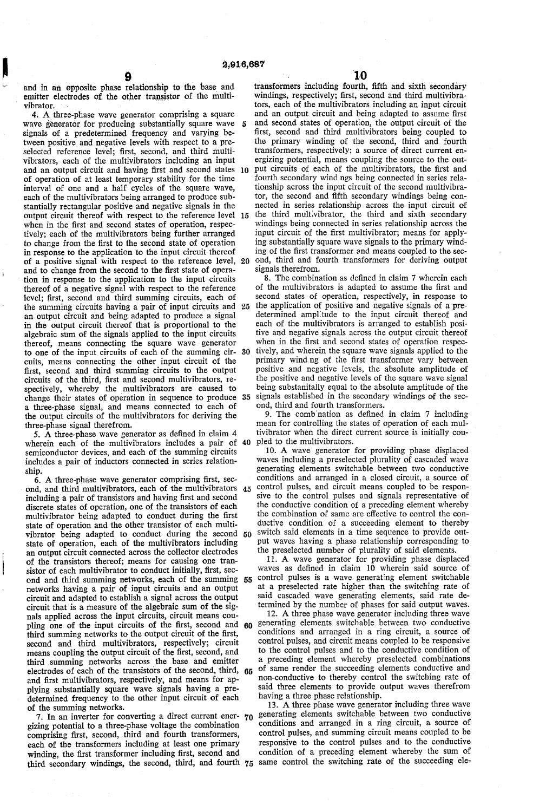and in an opposite phase relationship to the base and emitter electrodes of the other transistor of the multi vibrator.

k

4. A three-phase wave generator comprising a square wave generator for producing substantially square wave signals of a predetermined frequency and varying be tween positive and negative levels with respect to a pre selected reference level; first, second, and third multi-<br>vibrators, each of the multivibrators including an input vibrators, each of the multivibrators including an input and an output circuit and having first and second states 0. of operation of at least temporary stability for the time interval of one and a half cycles of the square wave, each of the multivibrators being arranged to produce substantially rectangular positive and negative signals in the output circuit thereof with respect to the reference level 15 when in the first and second states of operation, respectively; each of the multivibrators being further arranged to change from the first to the second state of operation in response to the application to the input circuit thereof of a positive signal with respect to the reference level, 20 and to change from the second to the first state of opera tion in response to the application to the input circuits thereof of a negative signal with respect to the reference level; first, second and third summing circuits, each of the summing circuits having a pair of input circuits and an output circuit and being adapted to produce a signal in the output circuit thereof that is proportional to the algebraic sum of the signals applied to the input circuits thereof, means connecting the square wave generator to one of the input circuits of each of the summing cir cuits, means connecting the other input circuit of the first, second and third summing circuits to the output circuits of the third, first and second multivibrators, re spectively, whereby the multivibrators are caused to change their states of operation in sequence to produce 35 a three-phase signal, and means connected to each of the output circuits of the multivibrators for deriving the three-phase signal therefrom. 5 30

5. A three-phase wave generator as defined in claim 4 wherein each of the multivibrators includes a pair of 40 semiconductor devices, and each of the summing circuits includes a pair of inductors connected in series relation-

ship.<br>6. A three-phase wave generator comprising first, second, and third multivibrators, each of the multivibrators including a pair of transistors and having first and second discrete states of operation, one of the transistors of each multivibrator being adapted to conduct during the first state of operation and the other transistor of each multi vibrator being adapted to conduct during the second 50 state of operation, each of the multivibrators including an output circuit connected across the collector electrodes of the transistors thereof; means for causing one tran sistor of each multivibrator to conduct initially, first, sec networks having a pair of input circuits and an output<br>circuit and adapted to establish a signal across the output<br>circuit that is a measure of the algebraic sum of the sig-<br>nals applied across the input circuits, circuit pling one of the input circuits of the first, second and 80 third summing networks to the output circuit of the first, second and third multivibrators, respectively; circuit means coupling the output circuit of the first, second, and third summing networks across the base and emitter and first multivibrators, respectively, and means for applying substantially square wave signals having a pre-<br>determined frequency to the other input circuit of each of the summing networks. ond and third summing networks, each of the summing 55 electrodes of each of the transistors of the second, third, 65

7. In an inverter for converting a direct current ener 70 gizing potential to a three-phase voltage the combination each of the transformers including at least one primary winding, the first transformer including first, second and third secondary windings, the second, third, and fourth 75 same control the switching rate of the succeeding ele

 $10$ <br>transformers including fourth, fifth and sixth secondary windings, respectively; first, second and third multivibrators, each of the multivibrators including an input circuit and an output circuit and being adapted to assume first and second states of operation, the output circuit of the first, second and third multivibrators being coupled to the primary winding of the second, third and fourth transformers, respectively; a source of direct current en ergizing potential, means coupling the source to the out put circuits of each of the multivibrators, the first and fourth secondary windings being connected in series relationship across the input circuit of the second multivibra tor, the second and fifth secondary windings being con nected in series relationship across the input circuit of the third multivibrator, the third and sixth secondary windings being connected in series relationship across the input circuit of the first multivibrator; means for applying substantially square wave signals to the primary winding of the first transformer and means coupled to the sec ond, third and fourth transformers for deriving output signals therefrom.

25 the application of positive and negative signals of a pre-8. The combination as defined in claim 7 wherein each of the multivibrators is adapted to assume the first and second states of operation, respectively, in response to determined amplitude to the input circuit thereof and each of the multivibrators is arranged to establish posifive and negative signals across the output circuit thereof when in the first and second states of operation respectively, and wherein the square wave signals applied to the primary winding of the first transformer vary between positive and negative levels, the absolute amplitude of being substanitally equal to the absolute amplitude of the signals established in the secondary windings of the sec ond, third and fourth transformers.

9. The combination as defined in claim 7 including mean for controlling the states of operation of each mul tivibrator when the direct current source is initially cou

45 control pulses, and circuit means coupled to be respon-10. A wave generator for providing phase displaced waves including a preselected plurality of cascaded wave generating elements switchable between two conductive conditions and arranged in a closed circuit, a source of sive to the control pulses and signals representative of the conductive condition of a preceding element whereby the combination of same are effective to control the conductive condition of a succeeding element to thereby switch said elements in a time sequence to provide output waves having a phase relationship corresponding to the preselected number of plurality of said elements.

11. A wave generator for providing phase displaced waves as defined in claim 10 wherein said source of control pulses is a wave generating element switchable at a preselected rate higher than the switching rate of said cascaded wave generating elements, said rate de termined by the number of phases for said output waves.

12. A three phase wave generator including three wave generating elements switchable between two conductive conditions and arranged in a ring circuit, a source of control pulses, and circuit means coupled to be responsive to the control pulses and to the conductive condition of a preceding element whereby preselected combinations of same render the succeeding elements conductive and non-conductive to thereby control the switching rate of having a three phase relationship.<br>13. A three phase wave generator including three wave

generating elements switchable between two conductive conditions and arranged in a ring circuit, a source of control pulses, and summing circuit means coupled to be responsive to the control pulses and to the conductive condition of a preceding element whereby the sum of